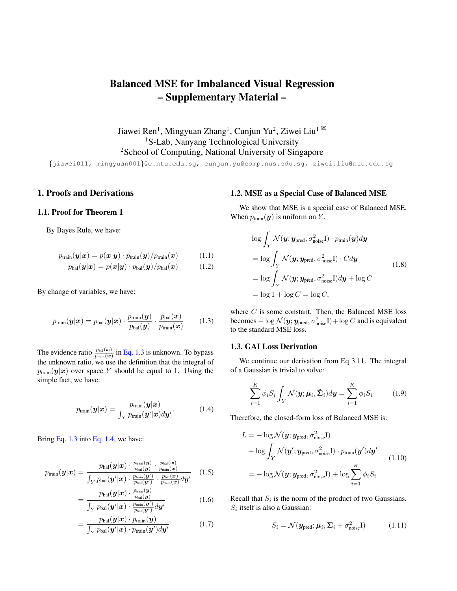# Balanced MSE for Imbalanced Visual Regression – Supplementary Material –

Jiawei Ren<sup>1</sup>, Mingyuan Zhang<sup>1</sup>, Cunjun Yu<sup>2</sup>, Ziwei Liu<sup>1</sup> <sup>1</sup>S-Lab, Nanyang Technological University <sup>2</sup>School of Computing, National University of Singapore

{jiawei011, mingyuan001}@e.ntu.edu.sg, cunjun.yu@comp.nus.edu.sg, ziwei.liu@ntu.edu.sg

# 1. Proofs and Derivations

## 1.1. Proof for Theorem 1

By Bayes Rule, we have:

$$
p_{\text{train}}(\boldsymbol{y}|\boldsymbol{x}) = p(\boldsymbol{x}|\boldsymbol{y}) \cdot p_{\text{train}}(\boldsymbol{y}) / p_{\text{train}}(\boldsymbol{x}) \qquad (1.1)
$$

$$
p_{\text{bal}}(\boldsymbol{y}|\boldsymbol{x}) = p(\boldsymbol{x}|\boldsymbol{y}) \cdot p_{\text{bal}}(\boldsymbol{y}) / p_{\text{bal}}(\boldsymbol{x}) \qquad (1.2)
$$

By change of variables, we have:

$$
p_{\text{train}}(\boldsymbol{y}|\boldsymbol{x}) = p_{\text{bal}}(\boldsymbol{y}|\boldsymbol{x}) \cdot \frac{p_{\text{train}}(\boldsymbol{y})}{p_{\text{bal}}(\boldsymbol{y})} \cdot \frac{p_{\text{bal}}(\boldsymbol{x})}{p_{\text{train}}(\boldsymbol{x})}
$$
(1.3)

The evidence ratio  $\frac{p_{\text{bal}}(\bm{x})}{p_{\text{train}}(\bm{x})}$  in [Eq. 1.3](#page-0-0) is unknown. To bypass the unknown ratio, we use the definition that the integral of  $p_{\text{train}}(\mathbf{y}|\mathbf{x})$  over space Y should be equal to 1. Using the simple fact, we have:

$$
p_{\text{train}}(\boldsymbol{y}|\boldsymbol{x}) = \frac{p_{\text{train}}(\boldsymbol{y}|\boldsymbol{x})}{\int_{Y} p_{\text{train}}(\boldsymbol{y}'|\boldsymbol{x}) d\boldsymbol{y}'}.
$$
(1.4)

Bring [Eq. 1.3](#page-0-0) into [Eq. 1.4,](#page-0-1) we have:

$$
p_{\text{train}}(\boldsymbol{y}|\boldsymbol{x}) = \frac{p_{\text{bal}}(\boldsymbol{y}|\boldsymbol{x}) \cdot \frac{p_{\text{train}}(\boldsymbol{y})}{p_{\text{bal}}(\boldsymbol{y})} \cdot \frac{p_{\text{bal}}(\boldsymbol{x})}{p_{\text{train}}(\boldsymbol{x})}}{\int_{Y} p_{\text{bal}}(\boldsymbol{y}'|\boldsymbol{x}) \cdot \frac{p_{\text{train}}(\boldsymbol{y}')}{p_{\text{ball}}(\boldsymbol{y}')} \cdot \frac{p_{\text{bal}}(\boldsymbol{x})}{p_{\text{train}}(\boldsymbol{x})} d\boldsymbol{y}'} \quad (1.5)
$$

$$
=\frac{p_{\text{bal}}(\boldsymbol{y}|\boldsymbol{x}) \cdot \frac{p_{\text{train}}(\boldsymbol{y})}{p_{\text{bal}}(\boldsymbol{y})}}{\int_{Y} p_{\text{bal}}(\boldsymbol{y}'|\boldsymbol{x}) \cdot \frac{p_{\text{train}}(\boldsymbol{y}')}{p_{\text{bal}}(\boldsymbol{y}')} d\boldsymbol{y}'}\tag{1.6}
$$

$$
= \frac{p_{\text{bal}}(\boldsymbol{y}|\boldsymbol{x}) \cdot p_{\text{train}}(\boldsymbol{y})}{\int_{Y} p_{\text{bal}}(\boldsymbol{y}'|\boldsymbol{x}) \cdot p_{\text{train}}(\boldsymbol{y}') d\boldsymbol{y}'} \tag{1.7}
$$

## 1.2. MSE as a Special Case of Balanced MSE

We show that MSE is a special case of Balanced MSE. When  $p_{\text{train}}(\mathbf{y})$  is uniform on Y,

$$
\log \int_{Y} \mathcal{N}(\mathbf{y}; \mathbf{y}_{pred}, \sigma_{noise}^{2}I) \cdot p_{train}(\mathbf{y}) d\mathbf{y}
$$
\n
$$
= \log \int_{Y} \mathcal{N}(\mathbf{y}; \mathbf{y}_{pred}, \sigma_{noise}^{2}I) \cdot C d\mathbf{y}
$$
\n
$$
= \log \int_{Y} \mathcal{N}(\mathbf{y}; \mathbf{y}_{pred}, \sigma_{noise}^{2}I) d\mathbf{y} + \log C
$$
\n
$$
= \log 1 + \log C = \log C,
$$
\n(1.8)

<span id="page-0-0"></span>where  $C$  is some constant. Then, the Balanced MSE loss becomes —  $\log \mathcal{N}(\bm{y};\bm{y}_\text{pred}, \sigma_\text{noise}^2\bm{\mathrm{I}}) + \log C$  and is equivalent to the standard MSE loss.

#### 1.3. GAI Loss Derivation

We continue our derivation from Eq 3.11. The integral of a Gaussian is trivial to solve:

<span id="page-0-3"></span>
$$
\sum_{i=1}^{K} \phi_i S_i \int_Y \mathcal{N}(\mathbf{y}; \tilde{\boldsymbol{\mu}}_i, \tilde{\boldsymbol{\Sigma}}_i) d\mathbf{y} = \sum_{i=1}^{K} \phi_i S_i \quad (1.9)
$$

<span id="page-0-1"></span>Therefore, the closed-form loss of Balanced MSE is:

$$
L = -\log \mathcal{N}(\mathbf{y}; \mathbf{y}_{pred}, \sigma_{noise}^{2}I)
$$
  
+  $\log \int_{Y} \mathcal{N}(\mathbf{y}'; \mathbf{y}_{pred}, \sigma_{noise}^{2}I) \cdot p_{train}(\mathbf{y}') d\mathbf{y}'$   
=  $-\log \mathcal{N}(\mathbf{y}; \mathbf{y}_{pred}, \sigma_{noise}^{2}I) + \log \sum_{i=1}^{K} \phi_{i} S_{i}$  (1.10)

Recall that  $S_i$  is the norm of the product of two Gaussians.  $S_i$  itself is also a Gaussian:

<span id="page-0-2"></span>
$$
S_i = \mathcal{N}(\mathbf{y}_{pred}; \boldsymbol{\mu}_i, \boldsymbol{\Sigma}_i + \sigma_{noise}^2 \mathbf{I})
$$
 (1.11)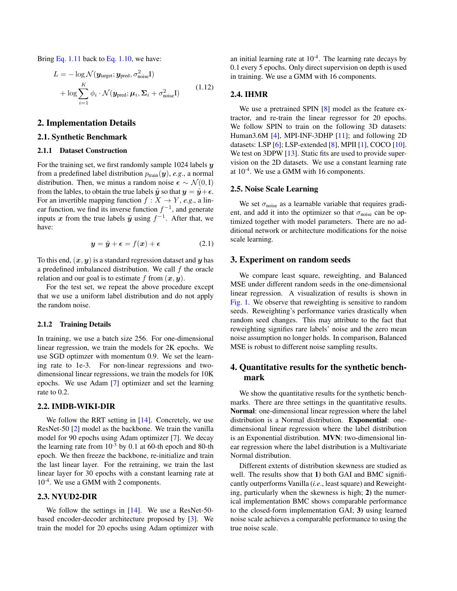<span id="page-1-0"></span>Bring [Eq. 1.11](#page-0-2) back to [Eq. 1.10,](#page-0-3) we have:

$$
L = -\log \mathcal{N}(\mathbf{y}_{\text{target}}; \mathbf{y}_{\text{pred}}, \sigma_{\text{noise}}^2 \mathbf{I})
$$
  
+ 
$$
\log \sum_{i=1}^{K} \phi_i \cdot \mathcal{N}(\mathbf{y}_{\text{pred}}; \boldsymbol{\mu}_i, \boldsymbol{\Sigma}_i + \sigma_{\text{noise}}^2 \mathbf{I})
$$
(1.12)

## 2. Implementation Details

#### 2.1. Synthetic Benchmark

#### 2.1.1 Dataset Construction

For the training set, we first randomly sample 1024 labels  $y$ from a predefined label distribution  $p_{\text{train}}(\mathbf{y})$ , *e.g.*, a normal distribution. Then, we minus a random noise  $\epsilon \sim \mathcal{N}(0, I)$ from the lables, to obtain the true labels  $\tilde{y}$  so that  $y = \tilde{y} + \epsilon$ . For an invertible mapping function  $f : X \to Y$ , *e.g.*, a linear function, we find its inverse function  $f^{-1}$ , and generate inputs x from the true labels  $\tilde{y}$  using  $f^{-1}$ . After that, we have:

$$
y = \tilde{y} + \epsilon = f(x) + \epsilon \tag{2.1}
$$

To this end,  $(x, y)$  is a standard regression dataset and y has a predefined imbalanced distribution. We call  $f$  the oracle relation and our goal is to estimate f from  $(x, y)$ .

For the test set, we repeat the above procedure except that we use a uniform label distribution and do not apply the random noise.

#### 2.1.2 Training Details

In training, we use a batch size 256. For one-dimensional linear regression, we train the models for 2K epochs. We use SGD optimzer with momentum 0.9. We set the learning rate to 1e-3. For non-linear regressions and twodimensional linear regressions, we train the models for 10K epochs. We use Adam [\[7\]](#page-5-0) optimizer and set the learning rate to 0.2.

#### 2.2. IMDB-WIKI-DIR

We follow the RRT setting in [\[14\]](#page-5-1). Concretely, we use ResNet-50 [\[2\]](#page-5-2) model as the backbone. We train the vanilla model for 90 epochs using Adam optimizer [\[7\]](#page-5-0). We decay the learning rate from  $10^{-3}$  by 0.1 at 60-th epoch and 80-th epoch. We then freeze the backbone, re-initialize and train the last linear layer. For the retraining, we train the last linear layer for 30 epochs with a constant learning rate at 10<sup>-4</sup>. We use a GMM with 2 components.

## 2.3. NYUD2-DIR

We follow the settings in [\[14\]](#page-5-1). We use a ResNet-50based encoder-decoder architecture proposed by [\[3\]](#page-5-3). We train the model for 20 epochs using Adam optimizer with an initial learning rate at  $10^{-4}$ . The learning rate decays by 0.1 every 5 epochs. Only direct supervision on depth is used in training. We use a GMM with 16 components.

## 2.4. IHMR

We use a pretrained SPIN [\[8\]](#page-5-4) model as the feature extractor, and re-train the linear regressor for 20 epochs. We follow SPIN to train on the following 3D datasets: Human3.6M [\[4\]](#page-5-5), MPI-INF-3DHP [\[11\]](#page-5-6); and following 2D datasets: LSP [\[6\]](#page-5-7); LSP-extended [\[8\]](#page-5-4), MPII [\[1\]](#page-5-8), COCO [\[10\]](#page-5-9). We test on 3DPW [\[13\]](#page-5-10). Static fits are used to provide supervision on the 2D datasets. We use a constant learning rate at  $10^{-4}$ . We use a GMM with 16 components.

## 2.5. Noise Scale Learning

We set  $\sigma_{\text{noise}}$  as a learnable variable that requires gradient, and add it into the optimizer so that  $\sigma_{noise}$  can be optimized together with model parameters. There are no additional network or architecture modifications for the noise scale learning.

## 3. Experiment on random seeds

We compare least square, reweighting, and Balanced MSE under different random seeds in the one-dimensional linear regression. A visualization of results is shown in [Fig. 1.](#page-2-0) We observe that reweighting is sensitive to random seeds. Reweighting's performance varies drastically when random seed changes. This may attribute to the fact that reweighting signifies rare labels' noise and the zero mean noise assumption no longer holds. In comparison, Balanced MSE is robust to different noise sampling results.

# 4. Quantitative results for the synthetic benchmark

We show the quantitative results for the synthetic benchmarks. There are three settings in the quantitative results. Normal: one-dimensional linear regression where the label distribution is a Normal distribution. Exponential: onedimensional linear regression where the label distribution is an Exponential distribution. MVN: two-dimensional linear regression where the label distribution is a Multivariate Normal distribution.

Different extents of distribution skewness are studied as well. The results show that 1) both GAI and BMC significantly outperforms Vanilla (*i.e*., least square) and Reweighting, particularly when the skewness is high; 2) the numerical implementation BMC shows comparable performance to the closed-form implementation GAI; 3) using learned noise scale achieves a comparable performance to using the true noise scale.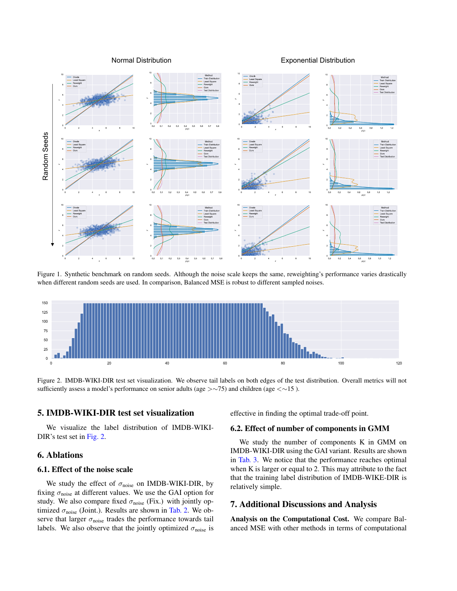Normal Distribution Exponential Distribution

<span id="page-2-0"></span>

Figure 1. Synthetic benchmark on random seeds. Although the noise scale keeps the same, reweighting's performance varies drastically when different random seeds are used. In comparison, Balanced MSE is robust to different sampled noises.

<span id="page-2-1"></span>

Figure 2. IMDB-WIKI-DIR test set visualization. We observe tail labels on both edges of the test distribution. Overall metrics will not sufficiently assess a model's performance on senior adults (age >∼75) and children (age <∼15).

## 5. IMDB-WIKI-DIR test set visualization

We visualize the label distribution of IMDB-WIKI-DIR's test set in [Fig. 2.](#page-2-1)

# 6. Ablations

## 6.1. Effect of the noise scale

We study the effect of  $\sigma_{noise}$  on IMDB-WIKI-DIR, by fixing  $\sigma_{\text{noise}}$  at different values. We use the GAI option for study. We also compare fixed  $\sigma_{noise}$  (Fix.) with jointly optimized  $\sigma_{\text{noise}}$  (Joint.). Results are shown in [Tab. 2.](#page-3-0) We observe that larger  $\sigma_{noise}$  trades the performance towards tail labels. We also observe that the jointly optimized  $\sigma_{\text{noise}}$  is

effective in finding the optimal trade-off point.

#### 6.2. Effect of number of components in GMM

We study the number of components K in GMM on IMDB-WIKI-DIR using the GAI variant. Results are shown in [Tab. 3.](#page-3-1) We notice that the performance reaches optimal when K is larger or equal to 2. This may attribute to the fact that the training label distribution of IMDB-WIKE-DIR is relatively simple.

# 7. Additional Discussions and Analysis

Analysis on the Computational Cost. We compare Balanced MSE with other methods in terms of computational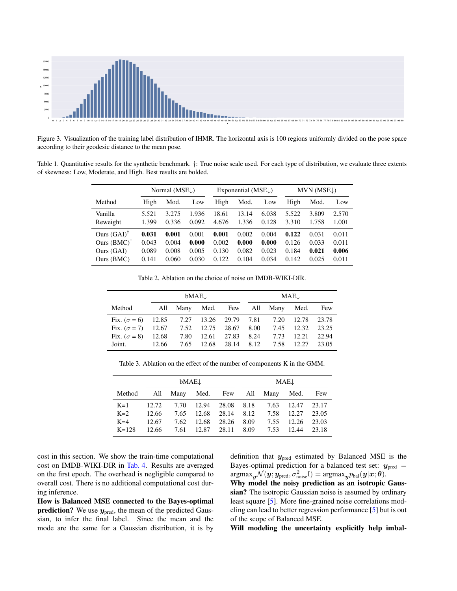<span id="page-3-2"></span>

Figure 3. Visualization of the training label distribution of IHMR. The horizontal axis is 100 regions uniformly divided on the pose space according to their geodesic distance to the mean pose.

Table 1. Quantitative results for the synthetic benchmark. †: True noise scale used. For each type of distribution, we evaluate three extents of skewness: Low, Moderate, and High. Best results are bolded.

|                        | Normal $(MSEL)$ |       | Exponential ( $MSE\downarrow$ ) |       |       | $MVN$ (MSE $\downarrow$ ) |       |       |       |
|------------------------|-----------------|-------|---------------------------------|-------|-------|---------------------------|-------|-------|-------|
| Method                 | High            | Mod.  | Low                             | High  | Mod.  | Low                       | High  | Mod.  | Low   |
| Vanilla                | 5.521           | 3.275 | 1.936                           | 18.61 | 13.14 | 6.038                     | 5.522 | 3.809 | 2.570 |
| Reweight               | 1.399           | 0.336 | 0.092                           | 4.676 | 1.336 | 0.128                     | 3.310 | 1.758 | 1.001 |
| Ours $(GAI)^{\dagger}$ | 0.031           | 0.001 | 0.001                           | 0.001 | 0.002 | 0.004                     | 0.122 | 0.031 | 0.011 |
| Ours $(BMC)^{\dagger}$ | 0.043           | 0.004 | 0.000                           | 0.002 | 0.000 | 0.000                     | 0.126 | 0.033 | 0.011 |
| Ours (GAI)             | 0.089           | 0.008 | 0.005                           | 0.130 | 0.082 | 0.023                     | 0.184 | 0.021 | 0.006 |
| Ours (BMC)             | 0.141           | 0.060 | 0.030                           | 0.122 | 0.104 | 0.034                     | 0.142 | 0.025 | 0.011 |

Table 2. Ablation on the choice of noise on IMDB-WIKI-DIR.

<span id="page-3-0"></span>

|                                                            | bMAE↓ |  |  | MAE↓                  |  |                                 |       |       |
|------------------------------------------------------------|-------|--|--|-----------------------|--|---------------------------------|-------|-------|
| Method                                                     |       |  |  |                       |  | All Many Med. Few All Many Med. |       | Few   |
| Fix. $(\sigma = 6)$ 12.85 7.27 13.26 29.79 7.81 7.20       |       |  |  |                       |  |                                 | 12.78 | 23.78 |
| Fix. $(\sigma = 7)$ 12.67 7.52 12.75 28.67 8.00 7.45 12.32 |       |  |  |                       |  |                                 |       | 23.25 |
| Fix. $(\sigma = 8)$ 12.68 7.80 12.61 27.83                 |       |  |  |                       |  | 8.24 7.73                       | 12.21 | 22.94 |
| Joint.                                                     | 12.66 |  |  | 7.65 12.68 28.14 8.12 |  | 7.58 12.27                      |       | 23.05 |

Table 3. Ablation on the effect of the number of components K in the GMM.

<span id="page-3-1"></span>

|                                        | <b>bMAE</b> |            |             |                  | $MAE\downarrow$ |      |                  |       |
|----------------------------------------|-------------|------------|-------------|------------------|-----------------|------|------------------|-------|
| Method All Many Med. Few All Many Med. |             |            |             |                  |                 |      |                  | Few   |
| $K=1$                                  |             | 12.72 7.70 |             | 12.94 28.08 8.18 |                 |      | 7.63 12.47 23.17 |       |
| $K=2$                                  | 12.66       | 7.65       |             | 12.68 28.14      | 8.12            | 7.58 | 12.27            | 23.05 |
| $K=4$                                  | 12.67       | 7.62       | 12.68       | 28.26            | 8.09            | 7.55 | 12.26            | 23.03 |
| $K = 128$                              | 12.66       | 7.61       | 12.87 28.11 |                  | 8.09            | 7.53 | 12.44            | 23.18 |

cost in this section. We show the train-time computational cost on IMDB-WIKI-DIR in [Tab. 4.](#page-4-0) Results are averaged on the first epoch. The overhead is negligible compared to overall cost. There is no additional computational cost during inference.

How is Balanced MSE connected to the Bayes-optimal **prediction?** We use  $y_{pred}$ , the mean of the predicted Gaussian, to infer the final label. Since the mean and the mode are the same for a Gaussian distribution, it is by

definition that  $y_{pred}$  estimated by Balanced MSE is the Bayes-optimal prediction for a balanced test set:  $y_{pred}$  =  $\text{argmax}_{\bm{y}} \mathcal{N}(\bm{y};\bm{y}_{\text{pred}}, \sigma_{\text{noise}}^2 \mathrm{I}) = \text{argmax}_{\bm{y}} p_{\text{bal}}(\bm{y}|\bm{x}; \bm{\theta}).$ 

Why model the noisy prediction as an isotropic Gaussian? The isotropic Gaussian noise is assumed by ordinary least square [\[5\]](#page-5-11). More fine-grained noise correlations modeling can lead to better regression performance [\[5\]](#page-5-11) but is out of the scope of Balanced MSE.

Will modeling the uncertainty explicitly help imbal-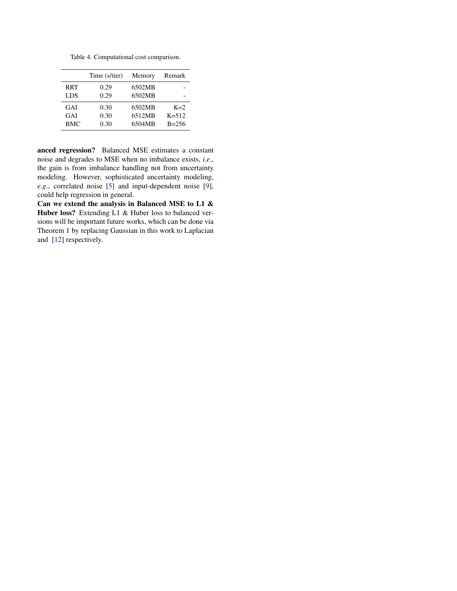Table 4. Computational cost comparison.

<span id="page-4-1"></span><span id="page-4-0"></span>

|            | Time (s/iter) | Memory | Remark    |
|------------|---------------|--------|-----------|
| <b>RRT</b> | 0.29          | 6502MB |           |
| LDS        | 0.29          | 6502MB |           |
| GAI        | 0.30          | 6502MB | $K=2$     |
| GAI        | 0.30          | 6512MB | $K = 512$ |
| <b>BMC</b> | 0.30          | 6504MB | $B = 256$ |

anced regression? Balanced MSE estimates a constant noise and degrades to MSE when no imbalance exists, *i.e*., the gain is from imbalance handling not from uncertainty modeling. However, sophisticated uncertainty modeling, *e.g*., correlated noise [\[5\]](#page-5-11) and input-dependent noise [\[9\]](#page-5-12), could help regression in general.

Can we extend the analysis in Balanced MSE to L1 & Huber loss? Extending L1 & Huber loss to balanced versions will be important future works, which can be done via Theorem 1 by replacing Gaussian in this work to Laplacian and [\[12\]](#page-5-13) respectively.